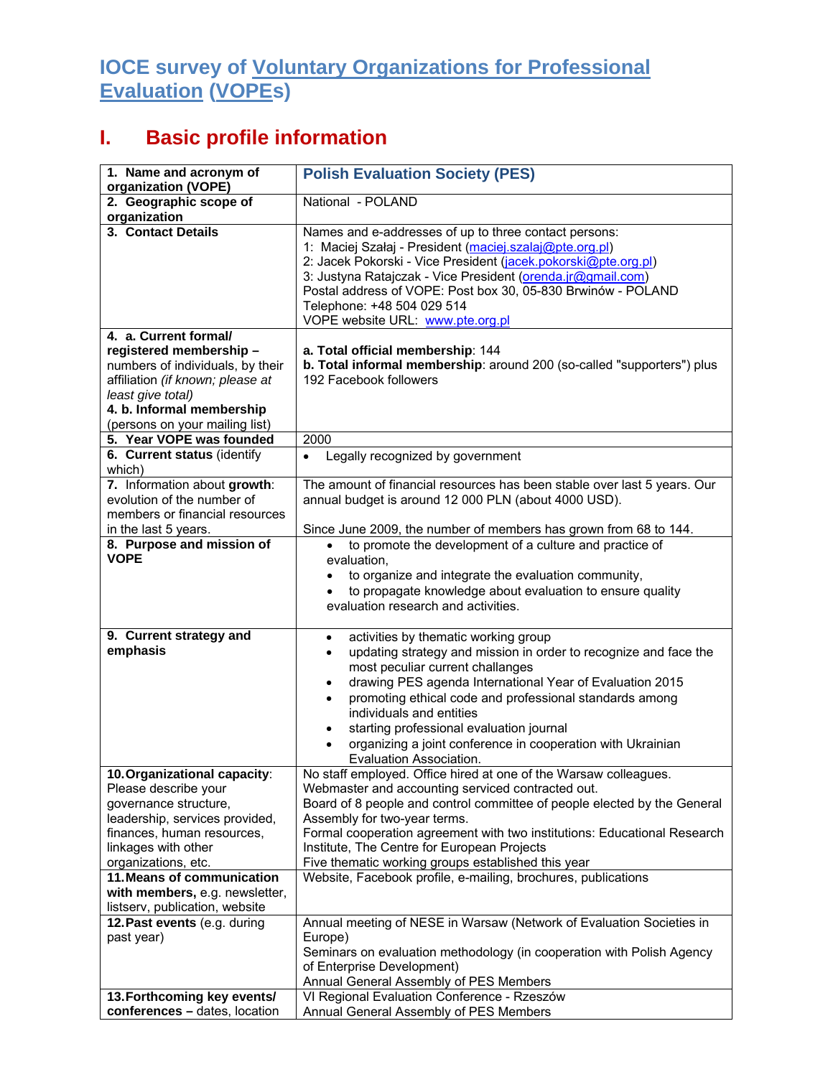## **IOCE survey of Voluntary Organizations for Professional Evaluation (VOPEs)**

## **I. Basic profile information**

| 1. Name and acronym of<br>organization (VOPE)                                                                                                                                               | <b>Polish Evaluation Society (PES)</b>                                                                                                                                                                                                                                                                                                                                                                                                                                                                      |
|---------------------------------------------------------------------------------------------------------------------------------------------------------------------------------------------|-------------------------------------------------------------------------------------------------------------------------------------------------------------------------------------------------------------------------------------------------------------------------------------------------------------------------------------------------------------------------------------------------------------------------------------------------------------------------------------------------------------|
| 2. Geographic scope of<br>organization                                                                                                                                                      | National - POLAND                                                                                                                                                                                                                                                                                                                                                                                                                                                                                           |
| 3. Contact Details                                                                                                                                                                          | Names and e-addresses of up to three contact persons:<br>1: Maciej Szałaj - President (maciej.szalaj@pte.org.pl)<br>2: Jacek Pokorski - Vice President (jacek.pokorski@pte.org.pl)<br>3: Justyna Ratajczak - Vice President (orenda.jr@gmail.com)<br>Postal address of VOPE: Post box 30, 05-830 Brwinów - POLAND<br>Telephone: +48 504 029 514<br>VOPE website URL: www.pte.org.pl                                                                                                                         |
| 4. a. Current formal/                                                                                                                                                                       |                                                                                                                                                                                                                                                                                                                                                                                                                                                                                                             |
| registered membership-<br>numbers of individuals, by their<br>affiliation (if known; please at<br>least give total)<br>4. b. Informal membership<br>(persons on your mailing list)          | a. Total official membership: 144<br>b. Total informal membership: around 200 (so-called "supporters") plus<br>192 Facebook followers                                                                                                                                                                                                                                                                                                                                                                       |
| 5. Year VOPE was founded                                                                                                                                                                    | 2000                                                                                                                                                                                                                                                                                                                                                                                                                                                                                                        |
| 6. Current status (identify<br>which)                                                                                                                                                       | Legally recognized by government<br>٠                                                                                                                                                                                                                                                                                                                                                                                                                                                                       |
| 7. Information about growth:<br>evolution of the number of<br>members or financial resources<br>in the last 5 years.                                                                        | The amount of financial resources has been stable over last 5 years. Our<br>annual budget is around 12 000 PLN (about 4000 USD).<br>Since June 2009, the number of members has grown from 68 to 144.                                                                                                                                                                                                                                                                                                        |
| 8. Purpose and mission of                                                                                                                                                                   | to promote the development of a culture and practice of                                                                                                                                                                                                                                                                                                                                                                                                                                                     |
| <b>VOPE</b>                                                                                                                                                                                 | evaluation,<br>to organize and integrate the evaluation community,<br>to propagate knowledge about evaluation to ensure quality<br>evaluation research and activities.                                                                                                                                                                                                                                                                                                                                      |
| 9. Current strategy and<br>emphasis                                                                                                                                                         | activities by thematic working group<br>$\bullet$<br>updating strategy and mission in order to recognize and face the<br>$\bullet$<br>most peculiar current challanges<br>drawing PES agenda International Year of Evaluation 2015<br>٠<br>promoting ethical code and professional standards among<br>$\bullet$<br>individuals and entities<br>starting professional evaluation journal<br>$\bullet$<br>organizing a joint conference in cooperation with Ukrainian<br>$\bullet$<br>Evaluation Association. |
| 10. Organizational capacity:<br>Please describe your<br>governance structure,<br>leadership, services provided,<br>finances, human resources,<br>linkages with other<br>organizations, etc. | No staff employed. Office hired at one of the Warsaw colleagues.<br>Webmaster and accounting serviced contracted out.<br>Board of 8 people and control committee of people elected by the General<br>Assembly for two-year terms.<br>Formal cooperation agreement with two institutions: Educational Research<br>Institute, The Centre for European Projects<br>Five thematic working groups established this year                                                                                          |
| 11. Means of communication                                                                                                                                                                  | Website, Facebook profile, e-mailing, brochures, publications                                                                                                                                                                                                                                                                                                                                                                                                                                               |
| with members, e.g. newsletter,<br>listserv, publication, website                                                                                                                            |                                                                                                                                                                                                                                                                                                                                                                                                                                                                                                             |
| 12. Past events (e.g. during<br>past year)                                                                                                                                                  | Annual meeting of NESE in Warsaw (Network of Evaluation Societies in<br>Europe)<br>Seminars on evaluation methodology (in cooperation with Polish Agency<br>of Enterprise Development)<br>Annual General Assembly of PES Members<br>VI Regional Evaluation Conference - Rzeszów                                                                                                                                                                                                                             |
| 13. Forthcoming key events/<br>conferences - dates, location                                                                                                                                | Annual General Assembly of PES Members                                                                                                                                                                                                                                                                                                                                                                                                                                                                      |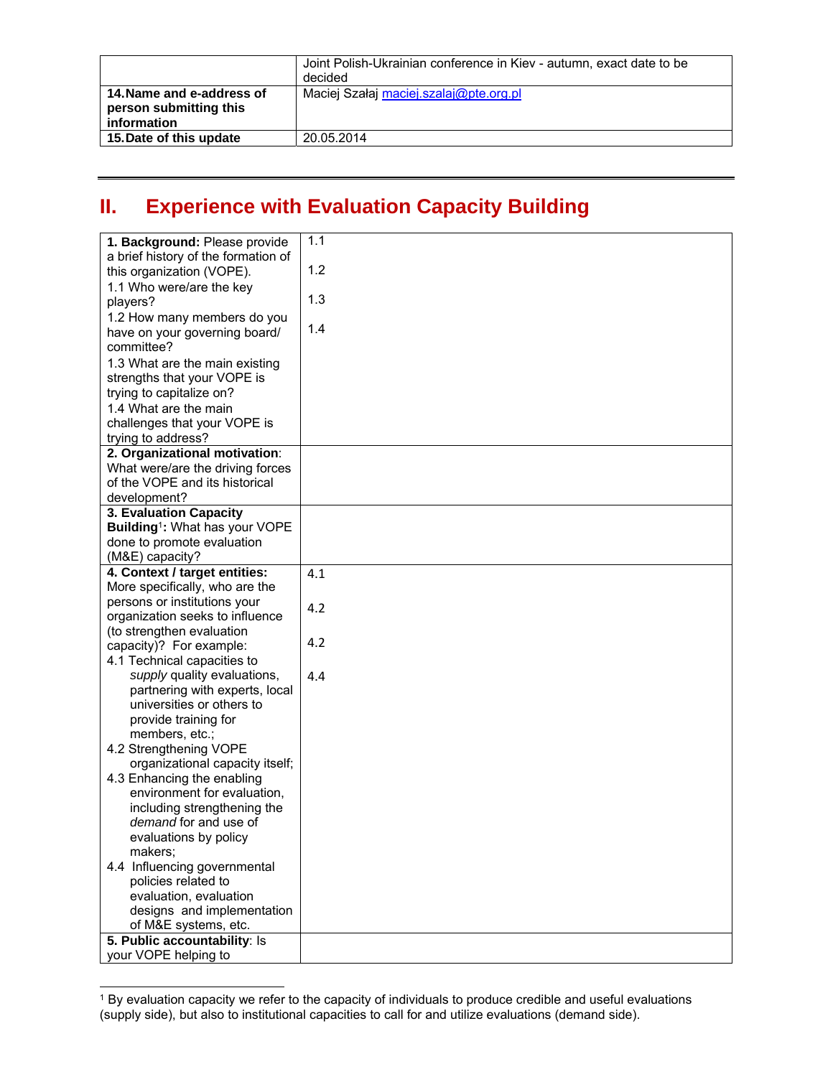|                                                                    | Joint Polish-Ukrainian conference in Kiev - autumn, exact date to be<br>decided |
|--------------------------------------------------------------------|---------------------------------------------------------------------------------|
| 14. Name and e-address of<br>person submitting this<br>information | Maciej Szałaj maciej.szalaj@pte.org.pl                                          |
| 15. Date of this update                                            | 20.05.2014                                                                      |

## **II. Experience with Evaluation Capacity Building**

| 1. Background: Please provide                 | 1.1 |
|-----------------------------------------------|-----|
| a brief history of the formation of           |     |
| this organization (VOPE).                     | 1.2 |
| 1.1 Who were/are the key                      |     |
| players?                                      | 1.3 |
| 1.2 How many members do you                   |     |
| have on your governing board/                 | 1.4 |
| committee?                                    |     |
| 1.3 What are the main existing                |     |
| strengths that your VOPE is                   |     |
| trying to capitalize on?                      |     |
| 1.4 What are the main                         |     |
| challenges that your VOPE is                  |     |
| trying to address?                            |     |
| 2. Organizational motivation:                 |     |
| What were/are the driving forces              |     |
| of the VOPE and its historical                |     |
| development?                                  |     |
| 3. Evaluation Capacity                        |     |
| Building <sup>1</sup> : What has your VOPE    |     |
| done to promote evaluation<br>(M&E) capacity? |     |
| 4. Context / target entities:                 | 4.1 |
| More specifically, who are the                |     |
| persons or institutions your                  |     |
| organization seeks to influence               | 4.2 |
| (to strengthen evaluation                     |     |
| capacity)? For example:                       | 4.2 |
| 4.1 Technical capacities to                   |     |
| supply quality evaluations,                   | 4.4 |
| partnering with experts, local                |     |
| universities or others to                     |     |
| provide training for                          |     |
| members, etc.;                                |     |
| 4.2 Strengthening VOPE                        |     |
| organizational capacity itself;               |     |
| 4.3 Enhancing the enabling                    |     |
| environment for evaluation,                   |     |
| including strengthening the                   |     |
| demand for and use of                         |     |
| evaluations by policy                         |     |
| makers;                                       |     |
| 4.4 Influencing governmental                  |     |
| policies related to                           |     |
| evaluation, evaluation                        |     |
| designs and implementation                    |     |
| of M&E systems, etc.                          |     |
| 5. Public accountability: Is                  |     |
| your VOPE helping to                          |     |

 $\overline{a}$ 

<sup>1</sup> By evaluation capacity we refer to the capacity of individuals to produce credible and useful evaluations (supply side), but also to institutional capacities to call for and utilize evaluations (demand side).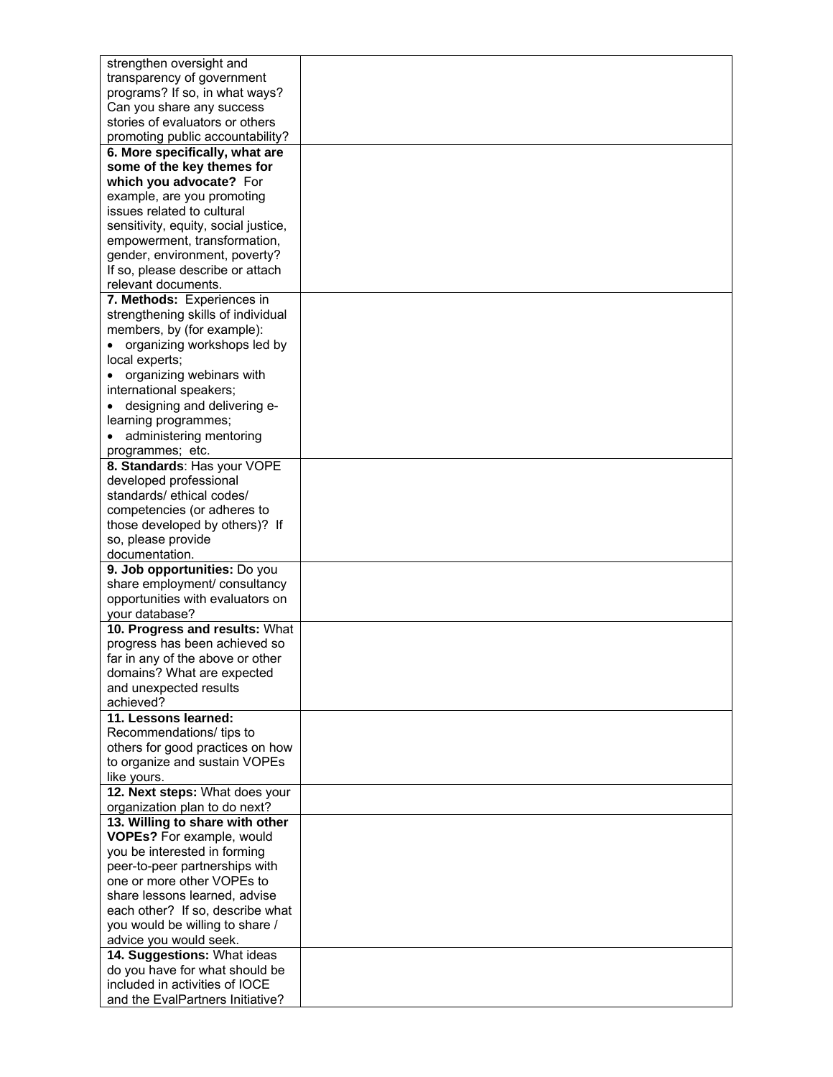| strengthen oversight and             |  |
|--------------------------------------|--|
| transparency of government           |  |
| programs? If so, in what ways?       |  |
|                                      |  |
| Can you share any success            |  |
| stories of evaluators or others      |  |
| promoting public accountability?     |  |
| 6. More specifically, what are       |  |
| some of the key themes for           |  |
| which you advocate? For              |  |
| example, are you promoting           |  |
| issues related to cultural           |  |
| sensitivity, equity, social justice, |  |
| empowerment, transformation,         |  |
| gender, environment, poverty?        |  |
| If so, please describe or attach     |  |
| relevant documents.                  |  |
|                                      |  |
| 7. Methods: Experiences in           |  |
| strengthening skills of individual   |  |
| members, by (for example):           |  |
| organizing workshops led by          |  |
| local experts;                       |  |
| organizing webinars with             |  |
| international speakers;              |  |
| designing and delivering e-          |  |
| learning programmes;                 |  |
| administering mentoring              |  |
|                                      |  |
| programmes; etc.                     |  |
| 8. Standards: Has your VOPE          |  |
| developed professional               |  |
| standards/ ethical codes/            |  |
| competencies (or adheres to          |  |
| those developed by others)? If       |  |
| so, please provide                   |  |
| documentation.                       |  |
| 9. Job opportunities: Do you         |  |
| share employment/ consultancy        |  |
| opportunities with evaluators on     |  |
| your database?                       |  |
| 10. Progress and results: What       |  |
| progress has been achieved so        |  |
|                                      |  |
| far in any of the above or other     |  |
| domains? What are expected           |  |
| and unexpected results               |  |
| achieved?                            |  |
| 11. Lessons learned:                 |  |
| Recommendations/ tips to             |  |
| others for good practices on how     |  |
| to organize and sustain VOPEs        |  |
| like yours.                          |  |
| 12. Next steps: What does your       |  |
| organization plan to do next?        |  |
| 13. Willing to share with other      |  |
| VOPEs? For example, would            |  |
|                                      |  |
| you be interested in forming         |  |
| peer-to-peer partnerships with       |  |
| one or more other VOPEs to           |  |
| share lessons learned, advise        |  |
| each other? If so, describe what     |  |
| you would be willing to share /      |  |
| advice you would seek.               |  |
| 14. Suggestions: What ideas          |  |
| do you have for what should be       |  |
| included in activities of IOCE       |  |
| and the EvalPartners Initiative?     |  |